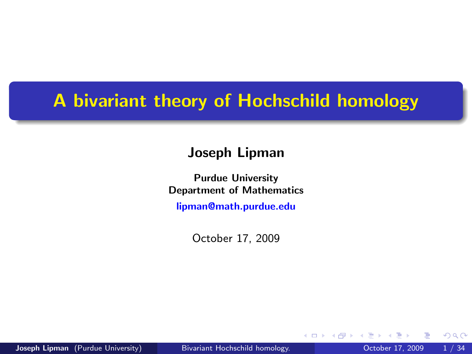## A bivariant theory of Hochschild homology

#### Joseph Lipman

Purdue University Department of Mathematics [lipman@math.purdue.edu](mailto:lipman@math.purdue.edu)

October 17, 2009

4 0 8

<span id="page-0-0"></span> $QQ$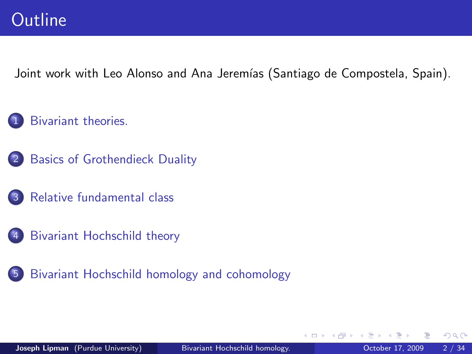Joint work with Leo Alonso and Ana Jeremías (Santiago de Compostela, Spain).

- [Bivariant theories.](#page-2-0)
- 2 [Basics of Grothendieck Duality](#page-10-0)
	- [Relative fundamental class](#page-16-0)
	- [Bivariant Hochschild theory](#page-20-0)
- 5 [Bivariant Hochschild homology and cohomology](#page-30-0)

4 D F

 $200$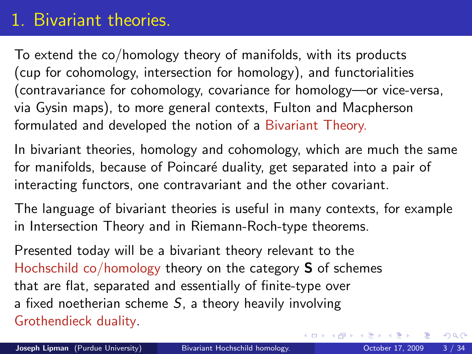# 1. Bivariant theories.

To extend the co/homology theory of manifolds, with its products (cup for cohomology, intersection for homology), and functorialities (contravariance for cohomology, covariance for homology—or vice-versa, via Gysin maps), to more general contexts, Fulton and Macpherson formulated and developed the notion of a Bivariant Theory.

In bivariant theories, homology and cohomology, which are much the same for manifolds, because of Poincaré duality, get separated into a pair of interacting functors, one contravariant and the other covariant.

The language of bivariant theories is useful in many contexts, for example in Intersection Theory and in Riemann-Roch-type theorems.

<span id="page-2-0"></span>Presented today will be a bivariant theory relevant to the Hochschild co/homology theory on the category S of schemes that are flat, separated and essentially of finite-type over a fixed noetherian scheme  $S$ , a theory heavily involving Grothendieck duality.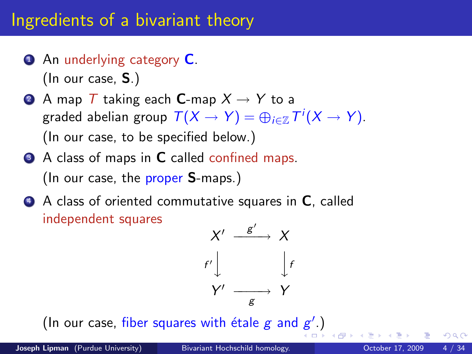# Ingredients of a bivariant theory

- **4** An underlying category **C**. (In our case, S.)
- **2** A map T taking each **C**-map  $X \rightarrow Y$  to a graded abelian group  $\mathcal{T}(X \to Y) = \oplus_{i \in \mathbb{Z}} \mathcal{T}^i(X \to Y).$ (In our case, to be specified below.)
- <sup>3</sup> A class of maps in **C** called confined maps. (In our case, the proper S-maps.)
- 4 A class of oriented commutative squares in C, called independent squares



(In our case, fiber squares with étale  $g$  and  $g'$ [.\)](#page-4-0)

 $200$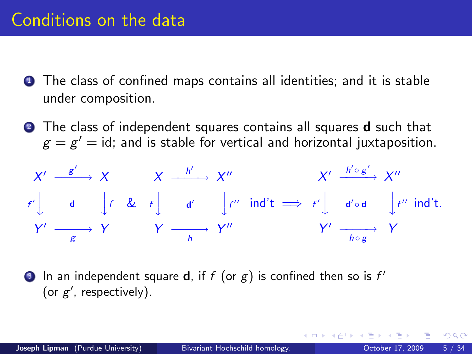- **1** The class of confined maps contains all identities; and it is stable under composition.
- **2** The class of independent squares contains all squares **d** such that  $\mathbf{g}=\mathbf{g}'=$  id; and is stable for vertical and horizontal juxtaposition.

$$
X' \xrightarrow{g'} X \qquad X \xrightarrow{h'} X'' \qquad X' \xrightarrow{h' \circ g'} X''
$$
  

$$
f' \downarrow d \qquad f \& f \downarrow d' \qquad f'' \text{ ind't} \implies f' \downarrow d' \circ d \qquad f'' \text{ ind't.}
$$
  

$$
Y' \xrightarrow{g'} Y \qquad Y \xrightarrow{h} Y'' \qquad Y' \xrightarrow{h \circ g'} Y
$$

<span id="page-4-0"></span>**3** In an independent square **d**, if  $f$  (or  $g$ ) is confined then so is  $f'$ (or  $g'$ , respectively).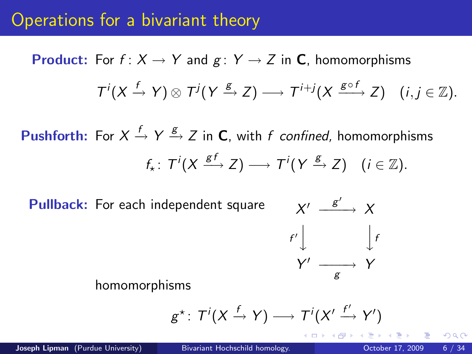### Operations for a bivariant theory

**Product:** For  $f: X \to Y$  and  $g: Y \to Z$  in **C**, homomorphisms  $T^{i}(X \xrightarrow{f} Y) \otimes T^{j}(Y \xrightarrow{g} Z) \longrightarrow T^{i+j}(X \xrightarrow{g \circ f} Z) \quad (i, j \in \mathbb{Z}).$ 

**Pushforth:** For  $X \xrightarrow{f} Y \xrightarrow{g} Z$  in **C**, with f confined, homomorphisms  $f_{\star} \colon T^{i}(X \xrightarrow{gf} Z) \longrightarrow T^{i}(Y \xrightarrow{g} Z) \quad (i \in \mathbb{Z}).$ 

Pullback: For each independent square



homomorphisms

$$
g^* \colon T^i(X \xrightarrow{f} Y) \longrightarrow T^i(X' \xrightarrow{f'} Y')
$$

 $200$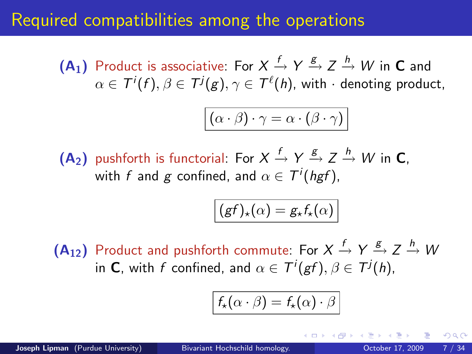### Required compatibilities among the operations

 $(A_1)$  Product is associative: For  $X \xrightarrow{f} Y \xrightarrow{g} Z \xrightarrow{h} W$  in **C** and  $\alpha \in \mathcal{T}^{i}(f),$   $\beta \in \mathcal{T}^{j}(g),$   $\gamma \in \mathcal{T}^{\ell}(h)$ , with  $\cdot$  denoting product,

$$
\boxed{(\alpha \cdot \beta) \cdot \gamma = \alpha \cdot (\beta \cdot \gamma)}
$$

 $(A_2)$  pushforth is functorial: For  $X \xrightarrow{f} Y \xrightarrow{g} Z \xrightarrow{h} W$  in C, with  $f$  and  $g$  confined, and  $\alpha \in \mathcal{T}^i(\mathit{hgf}),$ 

$$
(gf)_{\star}(\alpha) = g_{\star}f_{\star}(\alpha)
$$

 $(A_{12})$  Product and pushforth commute: For  $X \xrightarrow{f} Y \xrightarrow{g} Z \xrightarrow{h} W$ in **C**, with f confined, and  $\alpha \in T^i(gf), \beta \in T^j(h)$ ,

$$
f_{\star}(\alpha \cdot \beta) = f_{\star}(\alpha) \cdot \beta
$$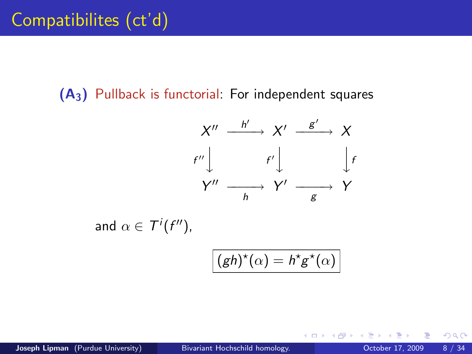$(A_3)$  Pullback is functorial: For independent squares



and  $\alpha \in \mathcal{T}^i(f'')$ ,

$$
(gh)^{\star}(\alpha) = h^{\star}g^{\star}(\alpha)
$$

4 D F

 $QQ$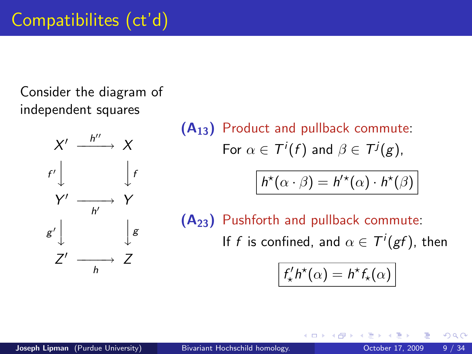Consider the diagram of independent squares



 $(A_{13})$  Product and pullback commute: For  $\alpha \in \mathcal{T}^i(f)$  and  $\beta \in \mathcal{T}^j(g)$ ,

$$
h^{\star}(\alpha \cdot \beta) = h^{\prime \star}(\alpha) \cdot h^{\star}(\beta)
$$

(A23) Pushforth and pullback commute:

If f is confined, and  $\alpha \in \mathcal{T}^i(\mathit{gf})$ , then

$$
f'_{\star}h^{\star}(\alpha) = h^{\star}f_{\star}(\alpha)
$$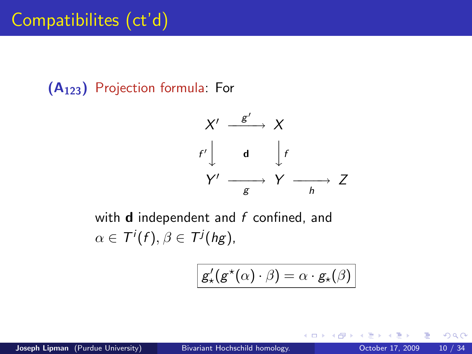(A123) Projection formula: For

$$
X' \xrightarrow{g'} X
$$
  

$$
f' \downarrow \qquad d \qquad \downarrow f
$$
  

$$
Y' \xrightarrow{g} Y \xrightarrow{h} Z
$$

with  $d$  independent and  $f$  confined, and  $\alpha \in \mathcal{T}^i(f), \beta \in \mathcal{T}^j(hg),$ 

$$
g'_{\star}(g^{\star}(\alpha)\cdot\beta)=\alpha\cdot g_{\star}(\beta)
$$

4 0 8

<span id="page-9-0"></span> $200$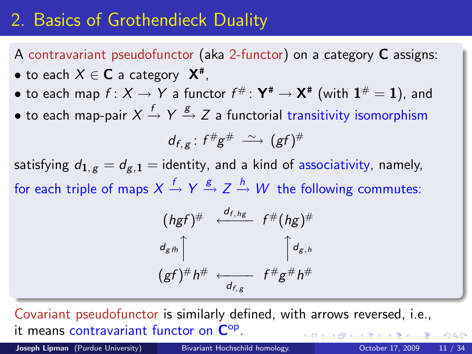# 2. Basics of Grothendieck Duality

A contravariant pseudofunctor (aka 2-functor) on a category C assigns:  $\bullet$  to each  $X \in \mathbf C$  a category  $\mathsf X^{\text{\tt\#}}$ ,

 $\bullet$  to each map  $f\colon X\to Y$  a functor  $f^\# \colon \mathsf{Y}^\# \to \mathsf{X}^\#$  (with  $\mathbf{1}^\#=\mathbf{1})$ , and

 $\bullet$  to each map-pair  $X\stackrel{f}{\to} Y \stackrel{g}{\to} Z$  a functorial transitivity isomorphism

$$
d_{f,g}: f^{\#}g^{\#} \stackrel{\sim}{\longrightarrow} (gf)^{\#}
$$

satisfying  $d_{1, g} = d_{g, 1}$  = identity, and a kind of associativity, namely, for each triple of maps  $X\stackrel{f}{\to} Y \stackrel{g}{\to} Z \stackrel{h}{\to} W$  the following commutes:

$$
(hgf)^{\#} \leftarrow \frac{d_{f,hg}}{f^{\#}(hg)^{\#}}
$$
  
\n
$$
\left(\frac{d_{g,h}}{gf}\right)^{\#} h^{\#} \leftarrow \frac{d_{g,h}}{f^{\#}g^{\#}h^{\#}}
$$

Covariant pseudofunctor is similarly defined, with arrows reversed, i.e., it means contravariant functor on  $\mathsf{C}^\mathrm{op}.$ 

Joseph Lipman (Purdue University) [Bivariant Hochschild homology.](#page-0-0) Charles Botober 17, 2009 11 / 34

<span id="page-10-0"></span>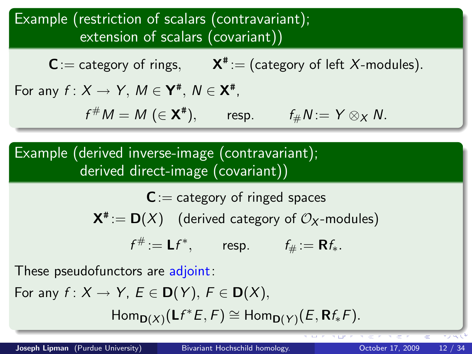### Example (restriction of scalars (contravariant); extension of scalars (covariant))

 $C$  := category of rings,  $X^*$  := (category of left X-modules).

For any  $f: X \to Y$ ,  $M \in \mathbf{Y}^{\#}, N \in \mathbf{X}^{\#}$ ,

 $f^{\#}M = M \ (\in \mathbf{X}^{\#}), \qquad \text{resp.} \qquad f_{\#}N := Y \otimes_{X} N.$ 

Example (derived inverse-image (contravariant); derived direct-image (covariant))

> $C$ :  $=$  category of ringed spaces  $\mathsf{X}^{\texttt{\#}}\!:=\mathsf{D}(X) \quad \text{(derived category of } \mathcal{O}_{\mathsf{X}}\text{-modules)}$  $f^{\#} := \mathsf{L} f^*, \qquad \text{resp.} \qquad f_{\#} := \mathsf{R} f_*.$

These pseudofunctors are adjoint:

For any  $f: X \to Y$ ,  $E \in D(Y)$ ,  $F \in D(X)$ ,

 $\mathsf{Hom}_{\mathsf{D}(X)}(\mathsf{L}f^*E,F)\cong \mathsf{Hom}_{\mathsf{D}(Y)}(E,\mathsf{R}f_*F).$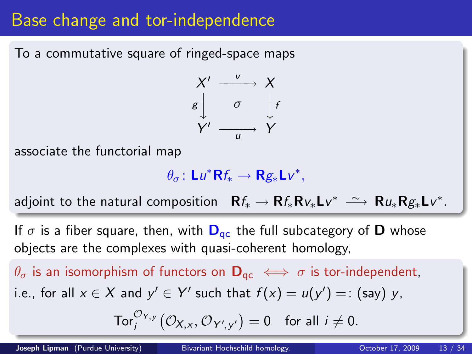# Base change and tor-independence

To a commutative square of ringed-space maps



associate the functorial map

 $\theta_{\sigma}$ : Lu<sup>\*</sup>Rf<sub>\*</sub>  $\rightarrow$  Rg<sub>\*</sub>Lv<sup>\*</sup>,

adjoint to the natural composition  $\mathbf{R}f_{*} \to \mathbf{R}f_{*}\mathbf{R}v_{*}\mathsf{L}v^{*} \stackrel{\sim}{\longrightarrow} \mathbf{R}u_{*}\mathbf{R}g_{*}\mathsf{L}v^{*}.$ 

If  $\sigma$  is a fiber square, then, with  $\mathbf{D}_{ac}$  the full subcategory of D whose objects are the complexes with quasi-coherent homology,

 $\theta_{\sigma}$  is an isomorphism of functors on  $\mathbf{D}_{\text{qc}} \leftrightarrow \sigma$  is tor-independent, i.e., for all  $x \in X$  and  $y' \in Y'$  such that  $f(x) = u(y') =:$  (say) y,

$$
\operatorname{Tor}_i^{\mathcal{O}_{Y,y}}\big(\mathcal{O}_{X,x},\mathcal{O}_{Y',y'}\big)=0 \quad \text{for all } i\neq 0.
$$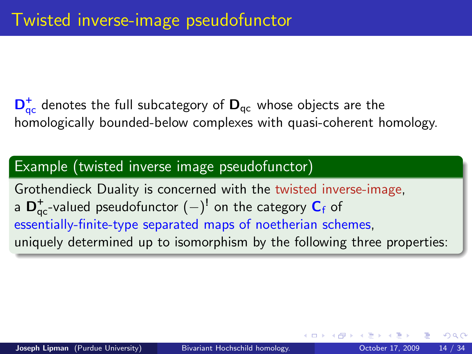$\mathsf{D}^+_\mathsf{qc}$  denotes the full subcategory of  $\mathsf{D}_\mathsf{qc}$  whose objects are the homologically bounded-below complexes with quasi-coherent homology.

### Example (twisted inverse image pseudofunctor)

<span id="page-13-0"></span>Grothendieck Duality is concerned with the twisted inverse-image, a  ${\mathsf D}_{\mathsf{qc}}^+$ -valued pseudofunctor  $(-)^!$  on the category  ${\mathsf C}_{\mathsf f}$  of essentially-finite-type separated maps of noetherian schemes, uniquely determined up to isomorphism by the following three properties: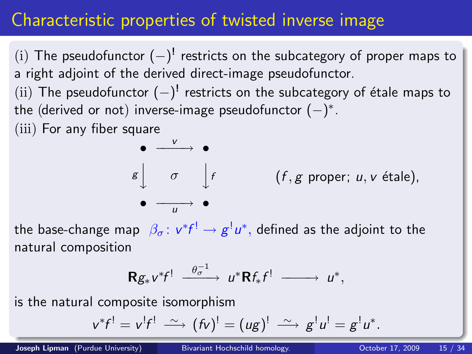# Characteristic properties of twisted inverse image

(i) The pseudofunctor  $(-)^!$  restricts on the subcategory of proper maps to a right adjoint of the derived direct-image pseudofunctor.

 $(iii)$  The pseudofunctor  $(-)^{!}$  restricts on the subcategory of étale maps to the (derived or not) inverse-image pseudofunctor  $(-)^*.$ 

(iii) For any fiber square



the base-change map  $\,\beta_{\sigma}\colon v^*f^!\rightarrow g^!u^*,$  defined as the adjoint to the natural composition

<span id="page-14-0"></span>
$$
\mathbf{R} g_* v^* f! \xrightarrow{\theta_\sigma^{-1}} u^* \mathbf{R} f_* f! \xrightarrow{\hspace{0.5cm}} u^*,
$$

is the natural composite isomorphism

$$
v^*f^! = v^!f^! \stackrel{\sim}{\longrightarrow} (fv)^! = (ug)^! \stackrel{\sim}{\longrightarrow} g^!u^! = g^!u^*.
$$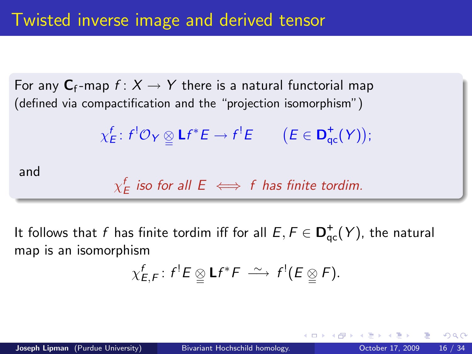For any  $C_f$ -map  $f: X \to Y$  there is a natural functorial map (defined via compactification and the "projection isomorphism")

$$
\chi_E^f\colon f^!\mathcal{O}_Y\underset{\simeq}{\otimes}\mathsf{L}f^*E\to f^!E\qquad\big(E\in\mathsf{D}^+_{\mathsf{qc}}(Y)\big);
$$

and

$$
\chi_E^f \text{ is odd for all } E \iff f \text{ has finite total.}
$$

It follows that  $f$  has finite tordim iff for all  $E,F\in \mathsf{D}^+_{\mathrm{qc}}(Y)$ , the natural map is an isomorphism

<span id="page-15-0"></span>
$$
\chi_{E,F}^f: f^!E \otimes \mathsf{L} f^*F \stackrel{\sim}{\longrightarrow} f^!(E \otimes F).
$$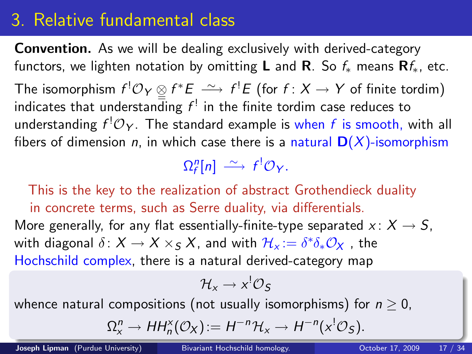# 3. Relative fundamental class

Convention. As we will be dealing exclusively with derived-category functors, we lighten notation by omitting **L** and **R**. So  $f_*$  means **R** $f_*$ , etc. The isomorphism  $f^! \mathcal{O}_Y \underset{\cong}{\otimes} f^*E \longrightarrow f^!E$  (for  $f: X \to Y$  of finite tordim) indicates that understan $\overline{\mathsf{d}}$ ing  $f^{!}$  in the finite tordim case reduces to understanding  $f^{!}\mathcal{O}_{Y}$ . The standard example is when  $f$  is smooth, with all fibers of dimension *n*, in which case there is a natural  $D(X)$ -isomorphism

 $\Omega_f^n[n] \stackrel{\sim}{\longrightarrow} f^! \mathcal{O}_Y.$ 

This is the key to the realization of abstract Grothendieck duality in concrete terms, such as Serre duality, via differentials. More generally, for any flat essentially-finite-type separated  $x: X \rightarrow S$ , with diagonal  $\delta\colon X\to X\times_S X$ , and with  $\mathcal{H}_\varkappa:=\delta^*\delta_*\mathcal{O}_X$  , the Hochschild complex, there is a natural derived-category map

<span id="page-16-0"></span>
$$
\mathcal{H}_x \to x^! \mathcal{O}_S
$$

whence natural compositions (not usually isomorphisms) for  $n > 0$ ,

$$
\Omega_X^n \to HH_n^{\times}(\mathcal{O}_X):=H^{-n}\mathcal{H}_x \to H^{-n}(x^!\mathcal{O}_S).
$$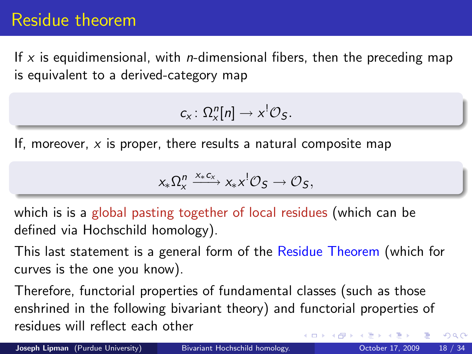# Residue theorem

If x is equidimensional, with *n*-dimensional fibers, then the preceding map is equivalent to a derived-category map

$$
c_x\colon \Omega_x^n[n]\to x^!\mathcal{O}_S.
$$

If, moreover,  $x$  is proper, there results a natural composite map

<span id="page-17-0"></span>
$$
x_*\Omega_x^n\xrightarrow{x_*c_x}x_*x^!{\mathcal O}_S\to {\mathcal O}_S,
$$

which is is a global pasting together of local residues (which can be defined via Hochschild homology).

This last statement is a general form of the Residue Theorem (which for curves is the one you know).

Therefore, functorial properties of fundamental classes (such as those enshrined in the following bivariant theory) and functorial properties of residues will reflect each other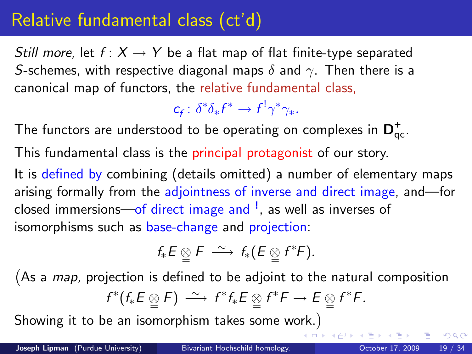# Relative fundamental class (ct'd)

Still more, let  $f: X \rightarrow Y$  be a flat map of flat finite-type separated S-schemes, with respective diagonal maps  $\delta$  and  $\gamma$ . Then there is a canonical map of functors, the relative fundamental class,

 $c_f: \delta^* \delta_* f^* \to f^! \gamma^* \gamma_*$ .

The functors are understood to be operating on complexes in  $\mathsf{D}^+_{\mathrm{qc}}.$ This fundamental class is the principal protagonist of our story. It is defined by combining (details omitted) a number of elementary maps arising formally from the adjointness of inverse and direct image, and—for closed immersions—of direct image and <sup>!</sup>, as well as inverses of isomorphisms such as base-change and projection:

$$
f_*E \underset{\cong}{\otimes} F \stackrel{\sim}{\longrightarrow} f_*(E \underset{\cong}{\otimes} f^*F).
$$

(As a *map*, projection is defined to be adjoint to the natural composition  $f^*(f_*E \otimes F) \longrightarrow f^*f_*E \otimes f^*F \rightarrow E \otimes f^*F.$ 

Showing it to be an isomorphism takes some work.

<span id="page-18-0"></span> $200$ 

 $\overline{AB}$   $\rightarrow$   $\overline{AB}$   $\rightarrow$   $\overline{AB}$   $\rightarrow$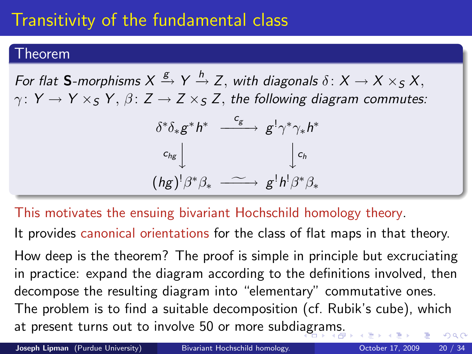# Transitivity of the fundamental class

#### Theorem

For flat **S**-morphisms  $X \xrightarrow{g} Y \xrightarrow{h} Z,$  with diagonals  $\delta \colon X \to X \times_S X,$  $\gamma: Y \to Y \times_S Y$ ,  $\beta: Z \to Z \times_S Z$ , the following diagram commutes:

<span id="page-19-0"></span>
$$
\begin{array}{ccc}\n\delta^*\delta_*g^*h^* & \xrightarrow{c_g} & g^!\gamma^*\gamma_*h^* \\
c_{hg}\downarrow & & \downarrow c_h \\
(hg)^!\beta^*\beta_* & \xrightarrow{g^!h^!\beta^*\beta_*}\n\end{array}
$$

This motivates the ensuing bivariant Hochschild homology theory.

It provides canonical orientations for the class of flat maps in that theory.

How deep is the theorem? The proof is simple in principle but excruciating in practice: expand the diagram according to the definitions involved, then decompose the resulting diagram into "elementary" commutative ones. The problem is to find a suitable decomposition (cf. Rubik's cube), which at present turns out to involve 50 or more subdi[ag](#page-18-0)r[a](#page-20-0)[m](#page-18-0)[s.](#page-19-0)  $QQ$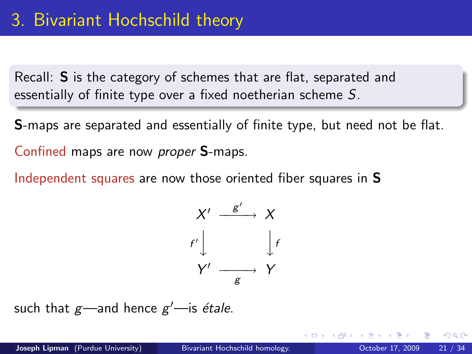Recall: S is the category of schemes that are flat, separated and essentially of finite type over a fixed noetherian scheme S.

S-maps are separated and essentially of finite type, but need not be flat. Confined maps are now proper S-maps.

Independent squares are now those oriented fiber squares in S

<span id="page-20-0"></span>

such that  $g$ —and hence  $g'$ —is *étale*.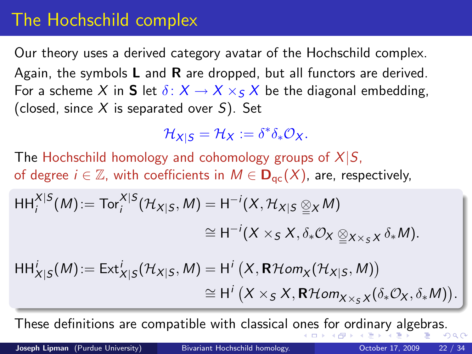# The Hochschild complex

Our theory uses a derived category avatar of the Hochschild complex. Again, the symbols  $L$  and  $R$  are dropped, but all functors are derived. For a scheme X in **S** let  $\delta: X \to X \times_S X$  be the diagonal embedding, (closed, since X is separated over  $S$ ). Set

<span id="page-21-0"></span>
$$
\mathcal{H}_{X|S}=\mathcal{H}_X:=\delta^*\delta_*\mathcal{O}_X.
$$

The Hochschild homology and cohomology groups of  $X|S$ , of degree  $i \in \mathbb{Z}$ , with coefficients in  $M \in \mathbf{D}_{\text{qc}}(X)$ , are, respectively,

$$
\mathsf{HH}_{i}^{X|S}(M) := \mathsf{Tor}_{i}^{X|S}(\mathcal{H}_{X|S}, M) = \mathsf{H}^{-i}(X, \mathcal{H}_{X|S} \underline{\otimes}_X M)
$$

$$
\cong \mathsf{H}^{-i}(X \times_S X, \delta_* \mathcal{O}_X \underline{\otimes}_{X \times_S X} \delta_* M).
$$

$$
HH_{X|S}^i(M) := Ext_{X|S}^i(\mathcal{H}_{X|S}, M) = H^i(X, \mathbf{R}\mathcal{H}om_X(\mathcal{H}_{X|S}, M))
$$
  
\n
$$
\cong H^i(X \times_S X, \mathbf{R}\mathcal{H}om_{X \times_S X}(\delta_* \mathcal{O}_X, \delta_* M)).
$$

These definitions are compatible with classical o[ne](#page-20-0)s [f](#page-22-0)[o](#page-20-0)[r o](#page-21-0)[r](#page-30-0)[d](#page-19-0)[in](#page-20-0)[a](#page-29-0)r[y](#page-19-0)[al](#page-29-0)[g](#page-30-0)[eb](#page-0-0)[ras](#page-33-0).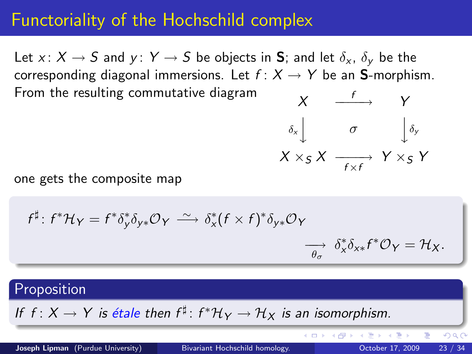### Functoriality of the Hochschild complex

Let x:  $X \to S$  and y:  $Y \to S$  be objects in **S**; and let  $\delta_{x}$ ,  $\delta_{y}$  be the corresponding diagonal immersions. Let  $f: X \rightarrow Y$  be an **S**-morphism. From the resulting commutative diagram  $X \xrightarrow{f}$ 



イロト イ押ト イヨト イヨト

one gets the composite map

$$
f^{\sharp}: f^{*}\mathcal{H}_{Y} = f^{*}\delta_{y}^{*}\delta_{y*}\mathcal{O}_{Y} \xrightarrow{\sim} \delta_{x}^{*}(f \times f)^{*}\delta_{y*}\mathcal{O}_{Y}
$$

$$
\xrightarrow[\theta_{\sigma}]{\partial_{x}^{*}} \delta_{x*}^{*}f^{*}\mathcal{O}_{Y} = \mathcal{H}_{X}.
$$

#### **Proposition**

If  $f: X \to Y$  is étale then  $f^{\sharp} \colon f^* \mathcal{H}_Y \to \mathcal{H}_X$  is an isomorphism.

Joseph Lipman (Purdue University) [Bivariant Hochschild homology.](#page-0-0) October 17, 2009 23 / 34

<span id="page-22-0"></span> $QQ$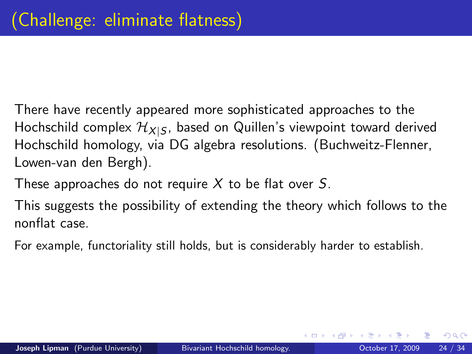There have recently appeared more sophisticated approaches to the Hochschild complex  $\mathcal{H}_{X|S}$ , based on Quillen's viewpoint toward derived Hochschild homology, via DG algebra resolutions. (Buchweitz-Flenner, Lowen-van den Bergh).

These approaches do not require  $X$  to be flat over S.

This suggests the possibility of extending the theory which follows to the nonflat case.

For example, functoriality still holds, but is considerably harder to establish.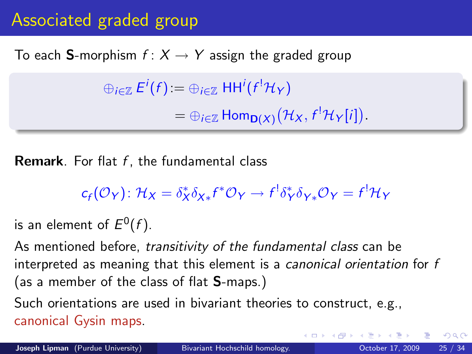# Associated graded group

### To each **S**-morphism  $f: X \rightarrow Y$  assign the graded group

 $\oplus_{i\in\mathbb{Z}}E^i(f)\!:=\oplus_{i\in\mathbb{Z}}\ \mathsf{HH}^i(f^!\mathcal{H}_\mathcal{Y})$  $= \bigoplus_{i \in \mathbb{Z}} \textsf{Hom}_{\mathbf{D}(X)}(\mathcal{H}_X, f^!\mathcal{H}_Y[i]).$ 

**Remark**. For flat  $f$ , the fundamental class

$$
c_f(\mathcal{O}_Y): \mathcal{H}_X = \delta_X^* \delta_{X*} f^* \mathcal{O}_Y \to f^! \delta_Y^* \delta_{Y*} \mathcal{O}_Y = f^! \mathcal{H}_Y
$$

is an element of  $E^0(f)$ .

As mentioned before, transitivity of the fundamental class can be interpreted as meaning that this element is a canonical orientation for f (as a member of the class of flat S-maps.)

Such orientations are used in bivariant theories to construct, e.g., canonical Gysin maps.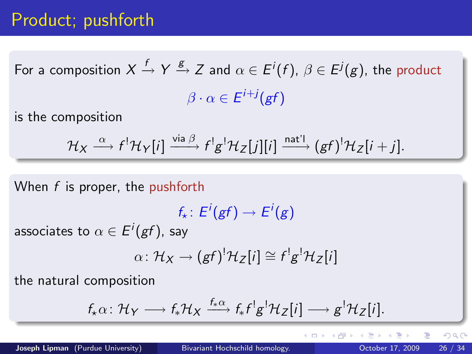# Product; pushforth

For a composition  $X\stackrel{f}{\to} Y \stackrel{g}{\to} Z$  and  $\alpha\in E^i(f),\,\beta\in E^j(g),$  the product  $\beta\cdot\alpha\in E^{i+j}({\it gf})$ 

is the composition

$$
\mathcal{H}_X \stackrel{\alpha}{\longrightarrow} f^! \mathcal{H}_Y[i] \stackrel{\text{via }\beta}{\longrightarrow} f^!g^! \mathcal{H}_Z[j][i] \stackrel{\text{nat'}!}{\longrightarrow} (gf)^! \mathcal{H}_Z[i+j].
$$

When  $f$  is proper, the pushforth

$$
f_\star\colon E^i(gf)\to E^i(g)
$$

associates to  $\alpha \in E^i(gf)$ , say

$$
\alpha\colon \mathcal{H}_X\to (gf)^! \mathcal{H}_Z[i]\cong f^!g^! \mathcal{H}_Z[i]
$$

the natural composition

$$
f_{\star}\alpha\colon \mathcal{H}_{Y} \longrightarrow f_{\star}\mathcal{H}_{X} \xrightarrow{f_{\star}\alpha} f_{\star}f^{\dagger}g^{\dagger}\mathcal{H}_{Z}[i] \longrightarrow g^{\dagger}\mathcal{H}_{Z}[i].
$$

目

イロト イ母 トイヨ トイヨト

<span id="page-25-0"></span> $QQ$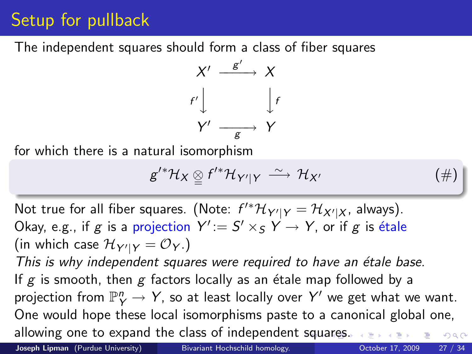# Setup for pullback

The independent squares should form a class of fiber squares



for which there is a natural isomorphism

$$
g^{\prime *}\mathcal{H}_X\underset{\simeq}{\otimes}f^{\prime *}\mathcal{H}_{Y^{\prime}|Y}\stackrel{\sim}{\longrightarrow}\mathcal{H}_{X^{\prime}}\qquad\qquad (\#)
$$

Not true for all fiber squares. (Note:  $f'^*\mathcal{H}_{Y'|Y} = \mathcal{H}_{X'|X}$ , always). Okay, e.g., if g is a projection  $Y':= S' \times_S Y \to Y$ , or if g is étale (in which case  ${\cal H}_{Y'\mid Y}={\cal O}_Y$ .)

This is why independent squares were required to have an étale base. If g is smooth, then g factors locally as an étale map followed by a projection from  $\mathbb{P}^n_Y \to Y$ , so at least locally over  $Y'$  we get what we want. One would hope these local isomorphisms paste to a canonical global one, allowing one to expand the class of independent [sq](#page-25-0)[ua](#page-27-0)[r](#page-25-0)[es](#page-26-0)[.](#page-27-0)  $QQ$ 

Joseph Lipman (Purdue University) [Bivariant Hochschild homology.](#page-0-0) Charles Cotober 17, 2009 27 / 34

<span id="page-26-0"></span>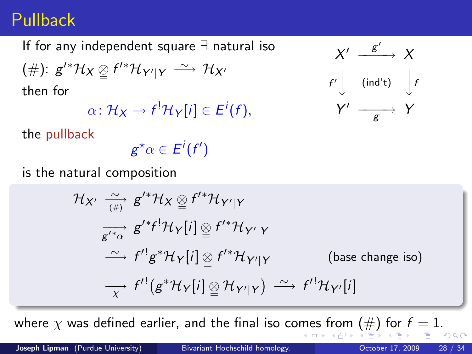## Pullback

If for any independent square ∃ natural iso  $(\#): g'^*\mathcal{H}_X \underset{=}{{\otimes}} f'^*\mathcal{H}_{Y'\vert Y} \stackrel{\sim}{\longrightarrow} \mathcal{H}_{X'}$ then for  $\alpha\colon \mathcal{H}_X\to f^!\mathcal{H}_Y[i]\in E^i(f),$ 

<span id="page-27-0"></span>

the pullback

 $g^\star \alpha \in E^i(f^\prime)$ 

is the natural composition

$$
\mathcal{H}_{X'} \xrightarrow[(\#)]{} g'^* \mathcal{H}_X \underset{\simeq}{\otimes} f'^* \mathcal{H}_{Y'|Y}
$$
\n
$$
\xrightarrow[g'^*\alpha]{} g'^* f^! \mathcal{H}_Y[i] \underset{\simeq}{\otimes} f'^* \mathcal{H}_{Y'|Y}
$$
\n
$$
\xrightarrow[\simeq]{} f'^! g^* \mathcal{H}_Y[i] \underset{\simeq}{\otimes} f'^* \mathcal{H}_{Y'|Y} \qquad \text{(base change iso)}
$$
\n
$$
\xrightarrow[\simeq]{} f'^! (g^* \mathcal{H}_Y[i] \underset{\simeq}{\otimes} \mathcal{H}_{Y'|Y}) \xrightarrow[\simeq]{} f'^! \mathcal{H}_{Y'}[i]
$$

whe[r](#page-26-0)e  $\chi$  was defined earlier, and the final iso co[me](#page-26-0)[s f](#page-28-0)r[om](#page-27-0) [\(](#page-19-0)[#](#page-20-0)[\)](#page-30-0) [f](#page-19-0)[or](#page-20-0)  $f = 1$  $f = 1$  $f = 1$  $f = 1$ .  $\Omega$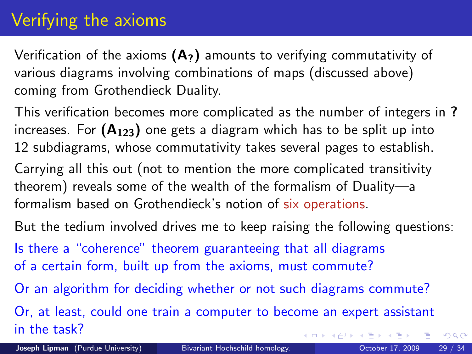# Verifying the axioms

Verification of the axioms  $(A_7)$  amounts to verifying commutativity of various diagrams involving combinations of maps (discussed above) coming from Grothendieck Duality.

This verification becomes more complicated as the number of integers in ? increases. For  $(A_{123})$  one gets a diagram which has to be split up into 12 subdiagrams, whose commutativity takes several pages to establish.

Carrying all this out (not to mention the more complicated transitivity theorem) reveals some of the wealth of the formalism of Duality—a formalism based on Grothendieck's notion of six operations.

But the tedium involved drives me to keep raising the following questions: Is there a "coherence" theorem guaranteeing that all diagrams

of a certain form, built up from the axioms, must commute?

Or an algorithm for deciding whether or not such diagrams commute?

Or, at least, could one train a computer to become an expert assistant in the task? ( □ ) ( <sub>□</sub> ) (

<span id="page-28-0"></span> $QQ$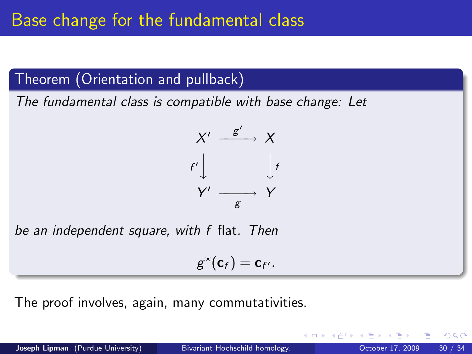Theorem (Orientation and pullback)

The fundamental class is compatible with base change: Let



be an independent square, with f flat. Then

$$
g^{\star}(\mathbf{c}_f)=\mathbf{c}_{f'}.
$$

The proof involves, again, many commutativities.

<span id="page-29-0"></span> $200$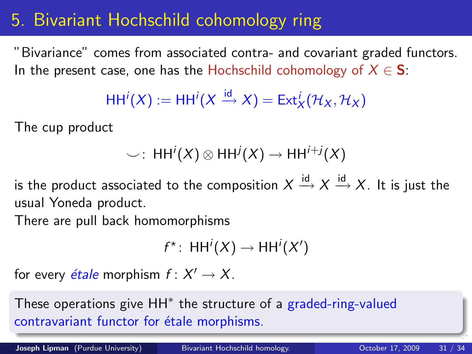# 5. Bivariant Hochschild cohomology ring

"Bivariance" comes from associated contra- and covariant graded functors. In the present case, one has the Hochschild cohomology of  $X \in S$ :

$$
\mathsf{HH}^i(X) := \mathsf{HH}^i(X \xrightarrow{\mathrm{id}} X) = \mathsf{Ext}^i_X(\mathcal{H}_X, \mathcal{H}_X)
$$

The cup product

$$
\smile\,:\; \mathsf{HH}^i(X) \otimes \mathsf{HH}^j(X) \to \mathsf{HH}^{i+j}(X)
$$

is the product associated to the composition  $X\stackrel{\mathsf{id}}{\rightarrow} X\stackrel{\mathsf{id}}{\rightarrow} X.$  It is just the usual Yoneda product.

There are pull back homomorphisms

$$
f^* \colon \operatorname{HH}\nolimits^i(X) \to \operatorname{HH}\nolimits^i(X')
$$

for every *étale* morphism  $f: X' \to X$ .

These operations give HH<sup>\*</sup> the structure of a graded-ring-valued contravariant functor for étale morphisms.

Joseph Lipman (Purdue University) [Bivariant Hochschild homology.](#page-0-0) Charles Cotober 17, 2009 31

<span id="page-30-0"></span>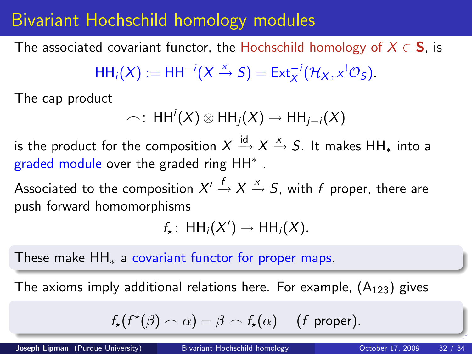# Bivariant Hochschild homology modules

The associated covariant functor, the Hochschild homology of  $X \in S$ , is

$$
HH_i(X) := HH^{-i}(X \xrightarrow{x} S) = Ext_X^{-i}(\mathcal{H}_X, x^1\mathcal{O}_S).
$$

The cap product

$$
\frown: \, HH^i(X) \otimes HH_j(X) \to HH_{j-i}(X)
$$

is the product for the composition  $X\stackrel{\mathsf{id}}{\longrightarrow} X\stackrel{\mathsf{x}}{\rightarrow} S.$  It makes HH $_*$  into a graded module over the graded ring HH<sup>\*</sup>.

Associated to the composition  $X' \xrightarrow{f} X \xrightarrow{\times} S$ , with  $f$  proper, there are push forward homomorphisms

$$
f_{\star}\colon \operatorname{HH}_i(X')\to \operatorname{HH}_i(X).
$$

These make HH<sup>∗</sup> a covariant functor for proper maps.

The axioms imply additional relations here. For example,  $(A_{123})$  gives

$$
f_{\star}(f^{\star}(\beta) \frown \alpha) = \beta \frown f_{\star}(\alpha) \quad (f \text{ proper}).
$$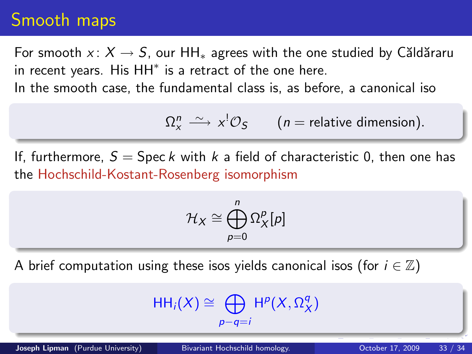## Smooth maps

For smooth  $x: X \rightarrow S$ , our HH<sub>\*</sub> agrees with the one studied by Căldăraru in recent years. His  $HH^*$  is a retract of the one here.

In the smooth case, the fundamental class is, as before, a canonical iso

 $\Omega^n_x \stackrel{\sim}{\longrightarrow} x^! \mathcal{O}_S$  (*n* = relative dimension).

If, furthermore,  $S =$  Spec k with k a field of characteristic 0, then one has the Hochschild-Kostant-Rosenberg isomorphism

$$
\mathcal{H}_X\cong\bigoplus_{p=0}^n\Omega_X^p[p]
$$

A brief computation using these isos yields canonical isos (for  $i \in \mathbb{Z}$ )

$$
\mathsf{HH}_{i}(X)\cong \bigoplus_{p-q=i}\mathsf{H}^{p}(X,\Omega_{X}^{q})
$$

Joseph Lipman (Purdue University) [Bivariant Hochschild homology.](#page-0-0) Corober 17, 2009 33